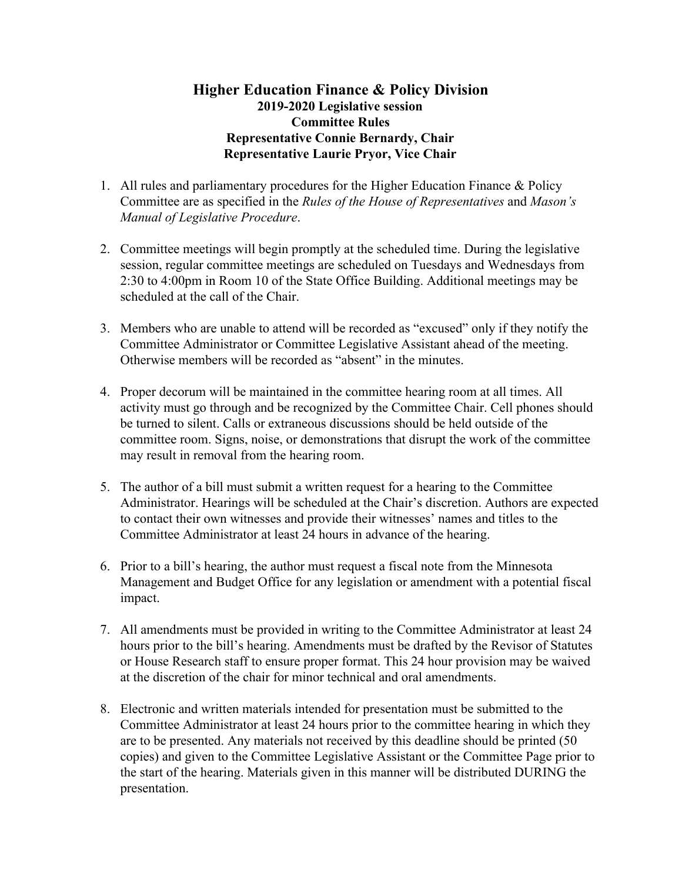## **Higher Education Finance & Policy Division 2019-2020 Legislative session Committee Rules Representative Connie Bernardy, Chair Representative Laurie Pryor, Vice Chair**

- 1. All rules and parliamentary procedures for the Higher Education Finance & Policy Committee are as specified in the *Rules of the House of Representatives* and *Mason's Manual of Legislative Procedure*.
- 2. Committee meetings will begin promptly at the scheduled time. During the legislative session, regular committee meetings are scheduled on Tuesdays and Wednesdays from 2:30 to 4:00pm in Room 10 of the State Office Building. Additional meetings may be scheduled at the call of the Chair.
- 3. Members who are unable to attend will be recorded as "excused" only if they notify the Committee Administrator or Committee Legislative Assistant ahead of the meeting. Otherwise members will be recorded as "absent" in the minutes.
- 4. Proper decorum will be maintained in the committee hearing room at all times. All activity must go through and be recognized by the Committee Chair. Cell phones should be turned to silent. Calls or extraneous discussions should be held outside of the committee room. Signs, noise, or demonstrations that disrupt the work of the committee may result in removal from the hearing room.
- 5. The author of a bill must submit a written request for a hearing to the Committee Administrator. Hearings will be scheduled at the Chair's discretion. Authors are expected to contact their own witnesses and provide their witnesses' names and titles to the Committee Administrator at least 24 hours in advance of the hearing.
- 6. Prior to a bill's hearing, the author must request a fiscal note from the Minnesota Management and Budget Office for any legislation or amendment with a potential fiscal impact.
- 7. All amendments must be provided in writing to the Committee Administrator at least 24 hours prior to the bill's hearing. Amendments must be drafted by the Revisor of Statutes or House Research staff to ensure proper format. This 24 hour provision may be waived at the discretion of the chair for minor technical and oral amendments.
- 8. Electronic and written materials intended for presentation must be submitted to the Committee Administrator at least 24 hours prior to the committee hearing in which they are to be presented. Any materials not received by this deadline should be printed (50 copies) and given to the Committee Legislative Assistant or the Committee Page prior to the start of the hearing. Materials given in this manner will be distributed DURING the presentation.